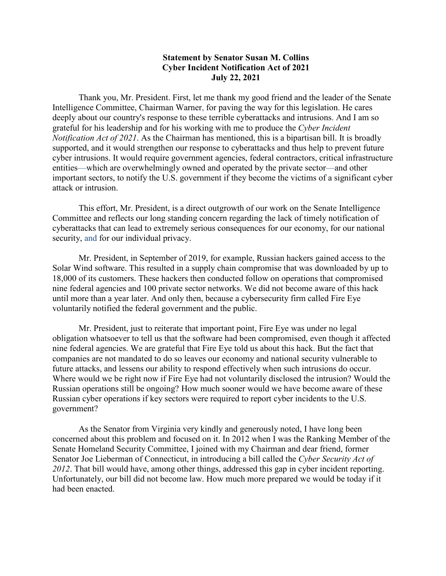## **Statement by Senator Susan M. Collins Cyber Incident Notification Act of 2021 July 22, 2021**

Thank you, Mr. President. First, let me thank my good friend and the leader of the Senate Intelligence Committee, Chairman Warner, for paving the way for this legislation. He cares deeply about our country's response to these terrible cyberattacks and intrusions. And I am so grateful for his leadership and for his working with me to produce the *Cyber Incident Notification Act of 2021*. As the Chairman has mentioned, this is a bipartisan bill. It is broadly supported, and it would strengthen our response to cyberattacks and thus help to prevent future cyber intrusions. It would require government agencies, federal contractors, critical infrastructure entities—which are overwhelmingly owned and operated by the private sector—and other important sectors, to notify the U.S. government if they become the victims of a significant cyber attack or intrusion.

This effort, Mr. President, is a direct outgrowth of our work on the Senate Intelligence Committee and reflects our long standing concern regarding the lack of timely notification of cyberattacks that can lead to extremely serious consequences for our economy, for our national security, and for our individual privacy.

Mr. President, in September of 2019, for example, Russian hackers gained access to the Solar Wind software. This resulted in a supply chain compromise that was downloaded by up to 18,000 of its customers. These hackers then conducted follow on operations that compromised nine federal agencies and 100 private sector networks. We did not become aware of this hack until more than a year later. And only then, because a cybersecurity firm called Fire Eye voluntarily notified the federal government and the public.

Mr. President, just to reiterate that important point, Fire Eye was under no legal obligation whatsoever to tell us that the software had been compromised, even though it affected nine federal agencies. We are grateful that Fire Eye told us about this hack. But the fact that companies are not mandated to do so leaves our economy and national security vulnerable to future attacks, and lessens our ability to respond effectively when such intrusions do occur. Where would we be right now if Fire Eye had not voluntarily disclosed the intrusion? Would the Russian operations still be ongoing? How much sooner would we have become aware of these Russian cyber operations if key sectors were required to report cyber incidents to the U.S. government?

As the Senator from Virginia very kindly and generously noted, I have long been concerned about this problem and focused on it. In 2012 when I was the Ranking Member of the Senate Homeland Security Committee, I joined with my Chairman and dear friend, former Senator Joe Lieberman of Connecticut, in introducing a bill called the *Cyber Security Act of 2012*. That bill would have, among other things, addressed this gap in cyber incident reporting. Unfortunately, our bill did not become law. How much more prepared we would be today if it had been enacted.